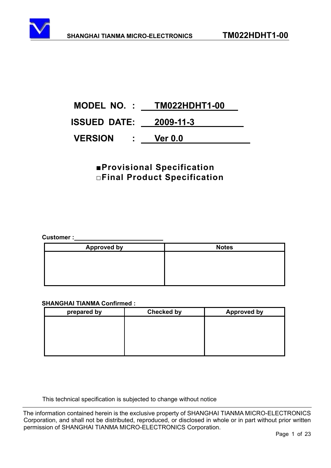<span id="page-0-0"></span>

# **MODEL NO. : TM022HDHT1-00 ISSUED DATE: 2009-11-3 VERSION : Ver 0.0**

## *R*Provisional Specification **ƑFinal Product Specification**

**Customer :** 

| <b>Approved by</b> | <b>Notes</b> |
|--------------------|--------------|
|                    |              |
|                    |              |
|                    |              |
|                    |              |

#### **SHANGHAI TIANMA Confirmed :**

| prepared by | <b>Checked by</b> | <b>Approved by</b> |
|-------------|-------------------|--------------------|
|             |                   |                    |
|             |                   |                    |
|             |                   |                    |
|             |                   |                    |
|             |                   |                    |

This technical specification is subjected to change without notice

The information contained herein is the exclusive property of SHANGHAI TIANMA MICRO-ELECTRONICS Corporation, and shall not be distributed, reproduced, or disclosed in whole or in part without prior written permission of SHANGHAI TIANMA MICRO-ELECTRONICS Corporation.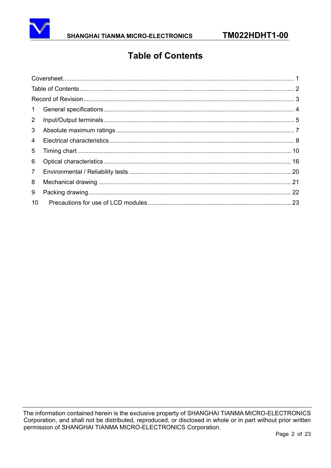<span id="page-1-0"></span>

## **Table of Contents**

| 1              |  |
|----------------|--|
| $2^{\circ}$    |  |
| 3              |  |
| $\overline{4}$ |  |
| 5              |  |
| 6              |  |
| 7 <sup>7</sup> |  |
| 8              |  |
| 9              |  |
| 10             |  |
|                |  |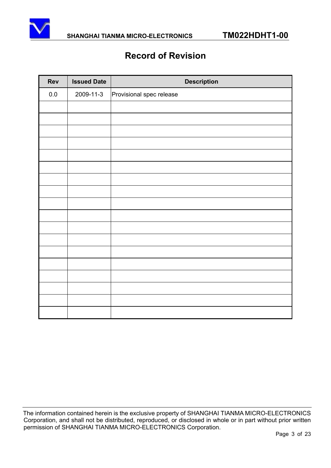<span id="page-2-0"></span>

## **Record of Revision**

| Rev     | <b>Issued Date</b> | <b>Description</b>       |
|---------|--------------------|--------------------------|
| $0.0\,$ | 2009-11-3          | Provisional spec release |
|         |                    |                          |
|         |                    |                          |
|         |                    |                          |
|         |                    |                          |
|         |                    |                          |
|         |                    |                          |
|         |                    |                          |
|         |                    |                          |
|         |                    |                          |
|         |                    |                          |
|         |                    |                          |
|         |                    |                          |
|         |                    |                          |
|         |                    |                          |
|         |                    |                          |
|         |                    |                          |
|         |                    |                          |
|         |                    |                          |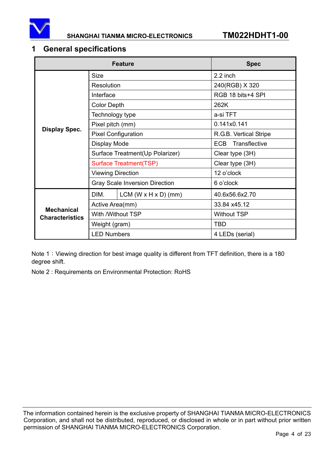<span id="page-3-0"></span>

## **1 General specifications**

|                                             | <b>Feature</b>           | <b>Spec</b>                           |                        |
|---------------------------------------------|--------------------------|---------------------------------------|------------------------|
|                                             | <b>Size</b>              |                                       | 2.2 inch               |
|                                             | Resolution               |                                       | 240(RGB) X 320         |
|                                             | Interface                |                                       | RGB 18 bits+4 SPI      |
|                                             | <b>Color Depth</b>       |                                       | 262K                   |
|                                             | Technology type          |                                       | a-si TFT               |
|                                             | Pixel pitch (mm)         |                                       | 0.141x0.141            |
| <b>Display Spec.</b>                        |                          | <b>Pixel Configuration</b>            | R.G.B. Vertical Stripe |
|                                             | Display Mode             |                                       | Transflective<br>ECB.  |
|                                             |                          | Surface Treatment (Up Polarizer)      | Clear type (3H)        |
|                                             | Surface Treatment(TSP)   |                                       | Clear type (3H)        |
|                                             | <b>Viewing Direction</b> |                                       | 12 o'clock             |
|                                             |                          | <b>Gray Scale Inversion Direction</b> | 6 o'clock              |
|                                             | DIM.                     | LCM (W $\times$ H $\times$ D) (mm)    | 40.6x56.6x2.70         |
|                                             | Active Area(mm)          |                                       | 33.84 x45.12           |
| <b>Mechanical</b><br><b>Characteristics</b> |                          | With /Without TSP                     | <b>Without TSP</b>     |
|                                             | Weight (gram)            |                                       | <b>TBD</b>             |
|                                             | <b>LED Numbers</b>       |                                       | 4 LEDs (serial)        |

Note 1: Viewing direction for best image quality is different from TFT definition, there is a 180 degree shift.

Note 2 : Requirements on Environmental Protection: RoHS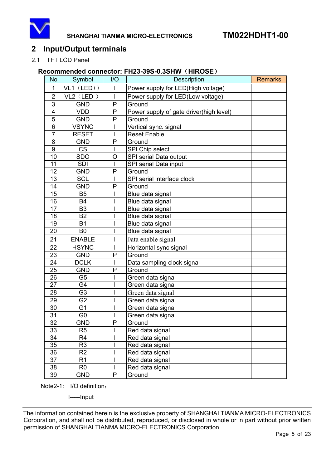<span id="page-4-0"></span>

## **2 Input/Output terminals**

#### 2.1 TFT LCD Panel

#### **Recommended connector: FH23-39S-0.3SHW (HIROSE)**

| <b>No</b>               | Symbol         | 1/O          | <b>Description</b>                      | <b>Remarks</b> |
|-------------------------|----------------|--------------|-----------------------------------------|----------------|
| 1                       | $VL1$ (LED+)   | $\mathbf{I}$ | Power supply for LED(High voltage)      |                |
| $\overline{2}$          | VL2 (LED-)     | I            | Power supply for LED(Low voltage)       |                |
| 3                       | <b>GND</b>     | P            | Ground                                  |                |
| $\overline{\mathbf{4}}$ | <b>VDD</b>     | P            | Power supply of gate driver(high level) |                |
| $\overline{5}$          | <b>GND</b>     | P            | Ground                                  |                |
| $\overline{6}$          | <b>VSYNC</b>   |              | Vertical sync. signal                   |                |
| $\overline{7}$          | <b>RESET</b>   |              | <b>Reset Enable</b>                     |                |
| 8                       | <b>GND</b>     | P            | Ground                                  |                |
| 9                       | <b>CS</b>      | I            | SPI Chip select                         |                |
| 10                      | <b>SDO</b>     | O            | SPI serial Data output                  |                |
| 11                      | <b>SDI</b>     |              | SPI serial Data input                   |                |
| 12                      | <b>GND</b>     | P            | Ground                                  |                |
| 13                      | <b>SCL</b>     |              | SPI serial interface clock              |                |
| 14                      | <b>GND</b>     | P            | Ground                                  |                |
| 15                      | <b>B5</b>      |              | Blue data signal                        |                |
| 16                      | <b>B4</b>      |              | Blue data signal                        |                |
| $\overline{17}$         | B <sub>3</sub> |              | Blue data signal                        |                |
| 18                      | <b>B2</b>      |              | Blue data signal                        |                |
| 19                      | <b>B1</b>      |              | Blue data signal                        |                |
| 20                      | B <sub>0</sub> |              | Blue data signal                        |                |
| 21                      | <b>ENABLE</b>  |              | Data enable signal                      |                |
| 22                      | <b>HSYNC</b>   |              | Horizontal sync signal                  |                |
| 23                      | <b>GND</b>     | P            | Ground                                  |                |
| 24                      | <b>DCLK</b>    |              | Data sampling clock signal              |                |
| 25                      | <b>GND</b>     | P            | Ground                                  |                |
| 26                      | G <sub>5</sub> |              | Green data signal                       |                |
| 27                      | G4             |              | Green data signal                       |                |
| 28                      | G <sub>3</sub> |              | Green data signal                       |                |
| 29                      | G <sub>2</sub> |              | Green data signal                       |                |
| 30                      | G <sub>1</sub> |              | Green data signal                       |                |
| $\overline{31}$         | G <sub>0</sub> |              | Green data signal                       |                |
| $\overline{32}$         | <b>GND</b>     | P            | Ground                                  |                |
| 33                      | R5             |              | Red data signal                         |                |
| 34                      | R4             |              | Red data signal                         |                |
| 35                      | R <sub>3</sub> |              | Red data signal                         |                |
| 36                      | R <sub>2</sub> |              | Red data signal                         |                |
| 37                      | R1             |              | Red data signal                         |                |
| 38                      | R <sub>0</sub> |              | Red data signal                         |                |
| 39                      | <b>GND</b>     | P            | Ground                                  |                |

Note2-1: I/O definition:

I-----Input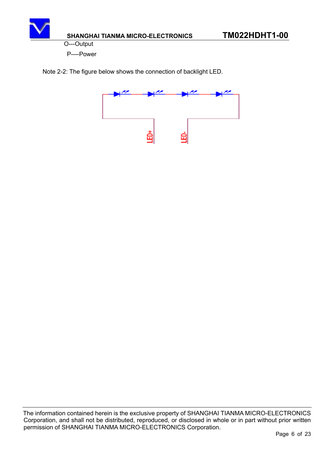

O---Output

P----Power

Note 2-2: The figure below shows the connection of backlight LED.

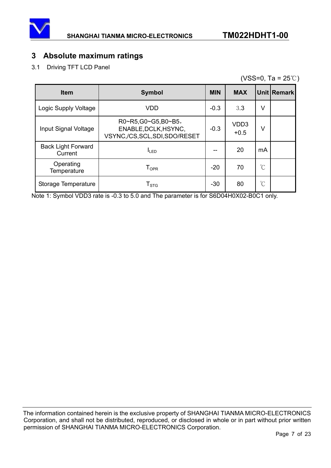<span id="page-6-0"></span>

## **3 Absolute maximum ratings**

3.1 Driving TFT LCD Panel

(VSS=0, Ta =  $25^{\circ}$ C)

| <b>Item</b>                          | <b>Symbol</b>                                                             | <b>MIN</b> | <b>MAX</b>                  |                      | Unit Remark |
|--------------------------------------|---------------------------------------------------------------------------|------------|-----------------------------|----------------------|-------------|
| Logic Supply Voltage                 | <b>VDD</b>                                                                | $-0.3$     | 3.3                         | V                    |             |
| Input Signal Voltage                 | R0~R5,G0~G5,B0~B5,<br>ENABLE, DCLK, HSYNC,<br>VSYNC,/CS,SCL,SDI,SDO/RESET | $-0.3$     | VD <sub>D</sub> 3<br>$+0.5$ | V                    |             |
| <b>Back Light Forward</b><br>Current | <b>ILED</b>                                                               | --         | 20                          | mA                   |             |
| Operating<br>Temperature             | $T_{\sf OPR}$                                                             | $-20$      | 70                          | $\mathrm{C}^{\circ}$ |             |
| Storage Temperature                  | ${\sf T}_{\text{STG}}$                                                    | $-30$      | 80                          | $\mathrm{C}^{\circ}$ |             |

Note 1: Symbol VDD3 rate is -0.3 to 5.0 and The parameter is for S6D04H0X02-B0C1 only.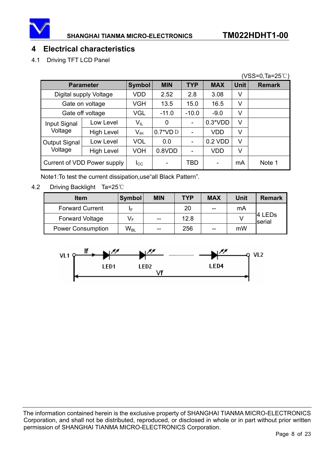<span id="page-7-0"></span>

## **4 Electrical characteristics**

4.1 Driving TFT LCD Panel

|                             | $(VSS=0, Ta=25^{\circ}C)$ |                            |                  |                          |            |             |               |
|-----------------------------|---------------------------|----------------------------|------------------|--------------------------|------------|-------------|---------------|
|                             | <b>Parameter</b>          | <b>Symbol</b>              | <b>MIN</b>       | <b>TYP</b>               | <b>MAX</b> | <b>Unit</b> | <b>Remark</b> |
|                             | Digital supply Voltage    | VDD                        | 2.52             | 2.8                      | 3.08       | v           |               |
|                             | Gate on voltage           | <b>VGH</b>                 | 13.5             | 15.0                     | 16.5       | V           |               |
| Gate off voltage            |                           | VGL                        | $-11.0$          | $-10.0$                  | $-9.0$     | V           |               |
| Input Signal                | Low Level                 | $\mathsf{V}_{\mathsf{IL}}$ | 0                | -                        | $0.3*VDD$  | V           |               |
| Voltage                     | <b>High Level</b>         | $\mathsf{V}_{\mathsf{IH}}$ | $0.7^{\ast}$ VDD | $\overline{\phantom{0}}$ | <b>VDD</b> | V           |               |
| Output Signal               | Low Level                 | <b>VOL</b>                 | 0.0              | $\overline{\phantom{a}}$ | 0.2 VDD    | V           |               |
| Voltage                     | <b>High Level</b>         | VOH                        | 0.8VDD           | ۰                        | <b>VDD</b> | V           |               |
| Current of VDD Power supply |                           | $I_{\rm CC}$               |                  | TBD                      |            | mA          | Note 1        |

Note1:To test the current dissipation,use"all Black Pattern".

4.2 Driving Backlight Ta=25°C

| <b>Item</b>              | Symbol                     | <b>MIN</b> | <b>TYP</b> | <b>MAX</b> | Unit | <b>Remark</b>    |
|--------------------------|----------------------------|------------|------------|------------|------|------------------|
| <b>Forward Current</b>   | IF                         |            | 20         | --         | mA   |                  |
| <b>Forward Voltage</b>   | V⊧                         | $- -$      | 12.8       |            |      | 4 LEDs<br>serial |
| <b>Power Consumption</b> | $\mathsf{W}_{\mathsf{BL}}$ | $- -$      | 256        | --         | mW   |                  |

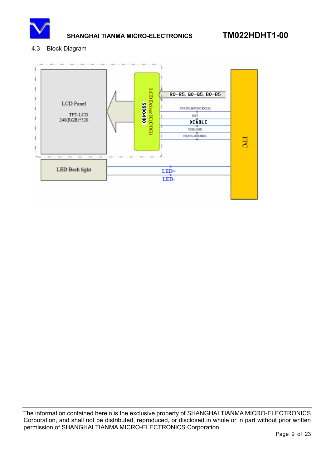

#### 4.3 Block Diagram

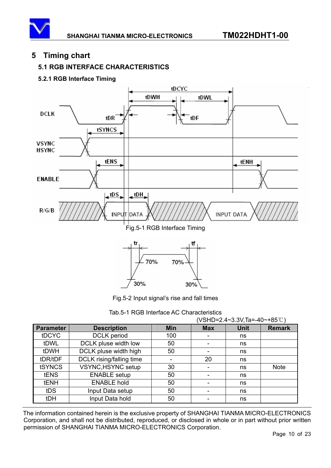## <span id="page-9-0"></span>**5 Timing chart**

## **5.1 RGB INTERFACE CHARACTERISTICS**

### **5.2.1 RGB Interface Timing**



Fig.5-2 Input signal's rise and fall times

Tab.5-1 RGB Interface AC Characteristics

|                  |                           | (VSHD=2.4~3.3V, Ta=-40~+85°C) |                          |             |               |  |
|------------------|---------------------------|-------------------------------|--------------------------|-------------|---------------|--|
| <b>Parameter</b> | <b>Description</b>        | <b>Min</b>                    | <b>Max</b>               | <b>Unit</b> | <b>Remark</b> |  |
| <b>tDCYC</b>     | <b>DCLK</b> period        | 100                           |                          | ns          |               |  |
| tDWL             | DCLK pluse width low      | 50                            | ۰                        | ns          |               |  |
| tDWH             | DCLK pluse width high     | 50                            | ۰                        | ns          |               |  |
| tDR/tDF          | DCLK rising/falling time  |                               | 20                       | ns          |               |  |
| <b>tSYNCS</b>    | <b>VSYNC, HSYNC setup</b> | 30                            | $\overline{\phantom{0}}$ | ns          | <b>Note</b>   |  |
| <b>tENS</b>      | <b>ENABLE</b> setup       | 50                            |                          | ns          |               |  |
| tENH             | <b>ENABLE hold</b>        | 50                            |                          | ns          |               |  |
| tDS              | Input Data setup          | 50                            |                          | ns          |               |  |
| tDH              | Input Data hold           | 50                            |                          | ns          |               |  |
|                  |                           |                               |                          |             |               |  |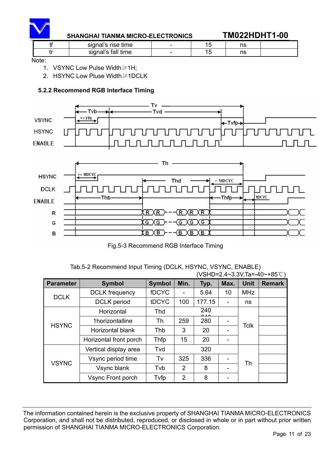

#### **SHANGHAI TIANMA MICRO-ELECTRONICS TM022HDHT1-00**

| signal's rise<br>time     | - | n<br>10 |  |
|---------------------------|---|---------|--|
| , fall<br>time<br>signal' | - | ns      |  |

Note:

1. VSYNC Low Pulse Width $\geq 1$ H;

2. HSYNC Low Pluse Width $\geq 1$ DCLK

#### **5.2.2 Recommend RGB Interface Timing**





Fig.5-3 Recommend RGB Interface Timing

#### Tab.5-2 Recommend Input Timing (DCLK, HSYNC, VSYNC, ENABLE)  $($ VSHD=2.4~3.3V,Ta=-40~+85°C)

|                  | $\overline{V}$ v $\overline{U}$ $\overline{V}$ $\overline{L}$ $\overline{L}$ $\overline{L}$ $\overline{V}$ $\overline{V}$ $\overline{V}$ $\overline{V}$ $\overline{V}$ $\overline{V}$ $\overline{V}$ $\overline{V}$ $\overline{V}$ $\overline{V}$ $\overline{V}$ $\overline{V}$ $\overline{V}$ $\overline{V}$ $\overline{V}$ $\overline{V}$ $\overline{V}$ $\overline{V}$ $\over$ |               |                |        |      |             |               |
|------------------|-----------------------------------------------------------------------------------------------------------------------------------------------------------------------------------------------------------------------------------------------------------------------------------------------------------------------------------------------------------------------------------|---------------|----------------|--------|------|-------------|---------------|
| <b>Parameter</b> | <b>Symbol</b>                                                                                                                                                                                                                                                                                                                                                                     | <b>Symbol</b> | Min.           | Typ.   | Max. | <b>Unit</b> | <b>Remark</b> |
| <b>DCLK</b>      | <b>DCLK</b> frequency                                                                                                                                                                                                                                                                                                                                                             | fDCYC         |                | 5.64   | 10   | <b>MHz</b>  |               |
|                  | <b>DCLK</b> period                                                                                                                                                                                                                                                                                                                                                                | tDCYC         | 100            | 177.15 |      | ns          |               |
| <b>HSYNC</b>     | Horizontal                                                                                                                                                                                                                                                                                                                                                                        | Thd           |                | 240    |      |             |               |
|                  | 1horizontalline                                                                                                                                                                                                                                                                                                                                                                   | Th            | 259            | 280    |      | <b>Tclk</b> |               |
|                  | Horizontal blank                                                                                                                                                                                                                                                                                                                                                                  | Thb           | 3              | 20     |      |             |               |
|                  | Horizontal front porch                                                                                                                                                                                                                                                                                                                                                            | Thfp          | 15             | 20     |      |             |               |
|                  | Vertical display area                                                                                                                                                                                                                                                                                                                                                             | Tvd           |                | 320    |      |             |               |
| <b>VSYNC</b>     | Vsync period time                                                                                                                                                                                                                                                                                                                                                                 | Tv            | 325            | 336    |      |             |               |
|                  | Vsync blank                                                                                                                                                                                                                                                                                                                                                                       | Tvb           | $\mathcal{P}$  | 8      |      | Th          |               |
|                  | Vsync Front porch                                                                                                                                                                                                                                                                                                                                                                 | Tvfp          | $\overline{2}$ | 8      |      |             |               |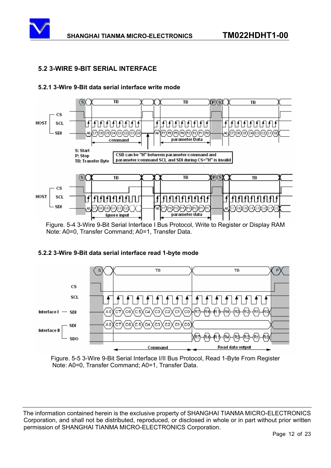

#### **5.2 3-WIRE 9-BIT SERIAL INTERFACE**



#### **5.2.1 3-Wire 9-Bit data serial interface write mode**





Figure. 5-5 3-Wire 9-Bit Serial Interface I/II Bus Protocol, Read 1-Byte From Register Note: A0=0, Transfer Command; A0=1, Transfer Data.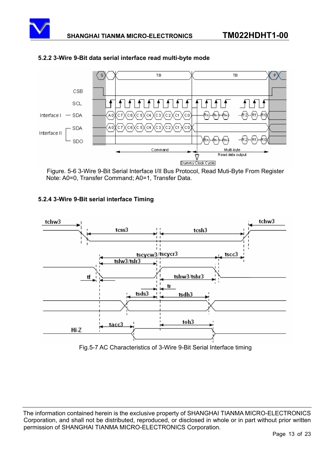



#### **5.2.2 3-Wire 9-Bit data serial interface read multi-byte mode**

#### **5.2.4 3-Wire 9-Bit serial interface Timing**



Fig.5-7 AC Characteristics of 3-Wire 9-Bit Serial Interface timing

Figure. 5-6 3-Wire 9-Bit Serial Interface I/II Bus Protocol, Read Muti-Byte From Register Note: A0=0, Transfer Command; A0=1, Transfer Data.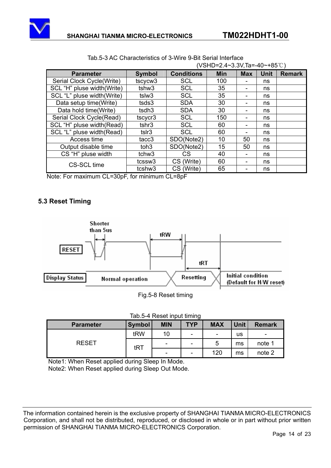

|                            | (VSHD=2.4~3.3V,1a=-40~+85 ℂ) |                   |            |            |             |               |
|----------------------------|------------------------------|-------------------|------------|------------|-------------|---------------|
| <b>Parameter</b>           | <b>Symbol</b>                | <b>Conditions</b> | <b>Min</b> | <b>Max</b> | <b>Unit</b> | <b>Remark</b> |
| Serial Clock Cycle(Write)  | tscycw <sub>3</sub>          | <b>SCL</b>        | 100        |            | ns          |               |
| SCL "H" pluse width(Write) | tshw3                        | <b>SCL</b>        | 35         |            | ns          |               |
| SCL "L" pluse width(Write) | tslw3                        | <b>SCL</b>        | 35         |            | ns          |               |
| Data setup time(Write)     | tsds3                        | <b>SDA</b>        | 30         |            | ns          |               |
| Data hold time(Write)      | tsdh3                        | <b>SDA</b>        | 30         |            | ns          |               |
| Serial Clock Cycle(Read)   | tscycr3                      | <b>SCL</b>        | 150        |            | ns          |               |
| SCL "H" pluse width(Read)  | tshr3                        | <b>SCL</b>        | 60         |            | ns          |               |
| SCL "L" pluse width(Read)  | tslr3                        | <b>SCL</b>        | 60         |            | ns          |               |
| Access time                | tacc <sub>3</sub>            | SDO(Note2)        | 10         | 50         | ns          |               |
| Output disable time        | toh <sub>3</sub>             | SDO(Note2)        | 15         | 50         | ns          |               |
| CS "H" pluse width         | tchw <sub>3</sub>            | CS                | 40         |            | ns          |               |
| <b>CS-SCL time</b>         | tcssw <sub>3</sub>           | CS (Write)        | 60         |            | ns          |               |
|                            | tcshw3                       | CS (Write)        | 65         |            | ns          |               |

| Tab.5-3 AC Characteristics of 3-Wire 9-Bit Serial Interface |  |
|-------------------------------------------------------------|--|
|                                                             |  |

Note: For maximum CL=30pF, for minimum CL=8pF

#### **5.3 Reset Timing**



Fig.5-8 Reset timing

| Tab.5-4 Reset input timing |  |  |
|----------------------------|--|--|
|                            |  |  |

| <b>TYP</b><br><b>MIN</b><br><b>MAX</b><br><b>Unit</b><br><b>Symbol</b><br><b>Remark</b><br><b>Parameter</b> |     |                          |   |                          |    |                          |  |
|-------------------------------------------------------------------------------------------------------------|-----|--------------------------|---|--------------------------|----|--------------------------|--|
|                                                                                                             | tRW | 10                       | - | $\overline{\phantom{0}}$ | us | $\overline{\phantom{0}}$ |  |
| <b>RESET</b>                                                                                                | tRT | $\overline{\phantom{0}}$ | - | 5                        | ms | note 1                   |  |
|                                                                                                             |     | $\overline{\phantom{0}}$ | - | 120                      | ms | note 2                   |  |

Note1: When Reset applied during Sleep In Mode.

Note2: When Reset applied during Sleep Out Mode.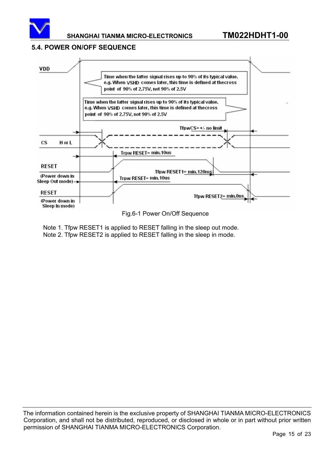

#### **5.4. POWER ON/OFF SEQUENCE**



Fig.6-1 Power On/Off Sequence

Note 1. Tfpw RESET1 is applied to RESET falling in the sleep out mode. Note 2. Tfpw RESET2 is applied to RESET falling in the sleep in mode.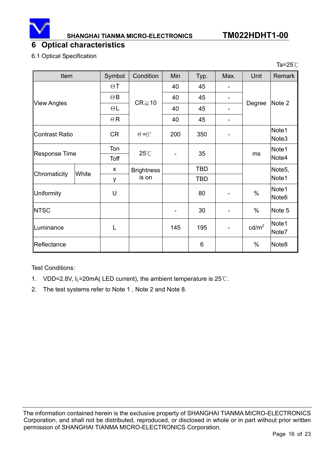<span id="page-15-0"></span>

**SHANGHAI TIANMA MICRO-ELECTRONICS TM022HDHT1-00**

Ta= $25^\circ$ C

## **6 Optical characteristics**

6.1 Optical Specification

| Item                  |       | Symbol     | Condition            | Min                      | Typ.       | Max. | Unit            | Remark                     |
|-----------------------|-------|------------|----------------------|--------------------------|------------|------|-----------------|----------------------------|
|                       |       | $\Theta$ T |                      | 40                       | 45         | -    |                 |                            |
|                       |       | $\Theta$ B | $CR \ge 10$          | 40                       | 45         | -    | Degree          |                            |
| <b>View Angles</b>    |       | $\Theta L$ |                      | 40                       | 45         | -    |                 | Note 2                     |
|                       |       | $\theta$ R |                      | 40                       | 45         |      |                 |                            |
| <b>Contrast Ratio</b> |       | <b>CR</b>  | $\theta = 0^{\circ}$ | 200                      | 350        |      |                 | Note1<br>Note <sub>3</sub> |
| <b>Response Time</b>  |       | Ton        | $25^{\circ}$ C       | 35                       |            | ms   | Note1           |                            |
|                       |       | Toff       |                      |                          |            |      |                 | Note4                      |
| Chromaticity          | White | X          | <b>Brightness</b>    |                          | <b>TBD</b> |      |                 | Note <sub>5</sub> ,        |
|                       |       | y          | is on                |                          | <b>TBD</b> |      |                 | Note1                      |
| Uniformity            |       | U          |                      |                          | 80         |      | $\%$            | Note1<br>Note <sub>6</sub> |
| <b>NTSC</b>           |       |            |                      | $\overline{\phantom{a}}$ | 30         |      | $\%$            | Note 5                     |
| Luminance             |       | L          |                      | 145                      | 195        |      | $\text{cd/m}^2$ | Note1<br>Note7             |
| Reflectance           |       |            |                      |                          | 6          |      | $\%$            | Note <sub>8</sub>          |

Test Conditions:

- 1. VDD=2.8V,  $I_L$ =20mA( LED current), the ambient temperature is 25°C.
- 2. The test systems refer to Note 1 , Note 2 and Note 8.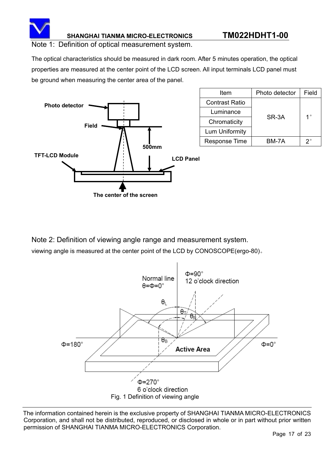

#### Note 1: Definition of optical measurement system.

The optical characteristics should be measured in dark room. After 5 minutes operation, the optical properties are measured at the center point of the LCD screen. All input terminals LCD panel must be ground when measuring the center area of the panel.



| Item                  | Photo detector | Field       |  |
|-----------------------|----------------|-------------|--|
| <b>Contrast Ratio</b> |                |             |  |
| Luminance             | SR-3A          | $1^{\circ}$ |  |
| Chromaticity          |                |             |  |
| Lum Uniformity        |                |             |  |
| <b>Response Time</b>  | BM-7A          | ?           |  |

Note 2: Definition of viewing angle range and measurement system. viewing angle is measured at the center point of the LCD by CONOSCOPE(ergo-80).

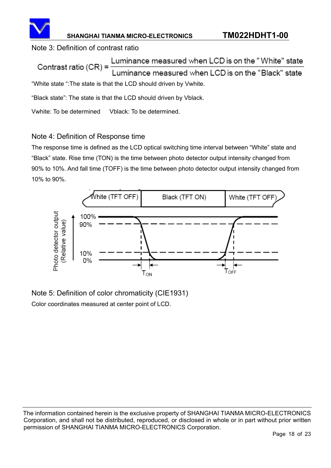

## Note 3: Definition of contrast ratio

Luminance measured when LCD is on the "White" state Contrast ratio  $(CR)$  = uminance measured when LCD is on the "Black" state "White state ":The state is that the LCD should driven by Vwhite.

"Black state": The state is that the LCD should driven by Vblack.

Vwhite: To be determined Vblack: To be determined.

## Note 4: Definition of Response time

The response time is defined as the LCD optical switching time interval between "White" state and "Black" state. Rise time (TON) is the time between photo detector output intensity changed from 90% to 10%. And fall time (TOFF) is the time between photo detector output intensity changed from 10% to 90%.



Note 5: Definition of color chromaticity (CIE1931) Color coordinates measured at center point of LCD.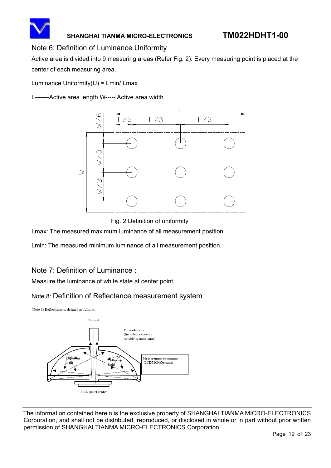

#### Note 6: Definition of Luminance Uniformity

Active area is divided into 9 measuring areas (Refer Fig. 2). Every measuring point is placed at the center of each measuring area.

Luminance Uniformity(U) = Lmin/ Lmax

L-------Active area length W----- Active area width



Fig. 2 Definition of uniformity

Lmax: The measured maximum luminance of all measurement position.

Lmin: The measured minimum luminance of all measurement position.

## Note 7: Definition of Luminance :

Measure the luminance of white state at center point.

## Note 8: Definition of Reflectance measurement system

Note 5) Reflectance is defined as follows

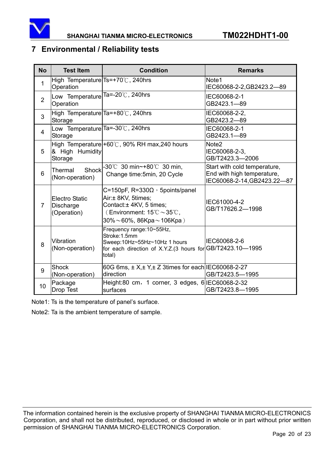<span id="page-19-0"></span>

## **7 Environmental / Reliability tests**

| <b>No</b>      | <b>Test Item</b>                                         | <b>Condition</b>                                                                                                                                                                                    | <b>Remarks</b>                                                                            |
|----------------|----------------------------------------------------------|-----------------------------------------------------------------------------------------------------------------------------------------------------------------------------------------------------|-------------------------------------------------------------------------------------------|
| 1              | High Temperature $Ts=+70^{\circ}$ C, 240hrs<br>Operation |                                                                                                                                                                                                     | Note1<br>IEC60068-2-2, GB2423.2-89                                                        |
| $\overline{2}$ | Low Temperature Ta=-20°C, 240hrs<br>Operation            |                                                                                                                                                                                                     | IEC60068-2-1<br>GB2423.1-89                                                               |
| 3              | High Temperature Ta=+80°C, 240hrs<br>Storage             |                                                                                                                                                                                                     | IEC60068-2-2,<br>GB2423.2-89                                                              |
| 4              | Low Temperature Ta=-30°C, 240hrs<br>Storage              |                                                                                                                                                                                                     | IEC60068-2-1<br>GB2423.1-89                                                               |
| 5              | & High Humidity<br>Storage                               | High Temperature +60°C, 90% RH max, 240 hours                                                                                                                                                       | Note <sub>2</sub><br>IEC60068-2-3,<br>GB/T2423.3-2006                                     |
| 6              | Shock<br>Thermal<br>(Non-operation)                      | -30°C 30 min~+80°C 30 min,<br>Change time: 5min, 20 Cycle                                                                                                                                           | Start with cold temperature,<br>End with high temperature,<br>IEC60068-2-14, GB2423.22-87 |
| $\overline{7}$ | <b>Electro Static</b><br><b>Discharge</b><br>(Operation) | C=150pF, $R=330\Omega$ , 5points/panel<br>Air:± 8KV, 5times;<br>Contact: ± 4KV, 5 times;<br>(Environment: $15^{\circ}\text{C} \sim 35^{\circ}\text{C}$ ,<br>$30\% \sim 60\%$ , 86Kpa $\sim$ 106Kpa) | IEC61000-4-2<br>GB/T17626.2-1998                                                          |
| 8              | Vibration<br>(Non-operation)                             | Frequency range: 10~55Hz,<br>Stroke:1.5mm<br>Sweep:10Hz~55Hz~10Hz 1 hours<br>for each direction of X.Y.Z.(3 hours for GB/T2423.10-1995<br>total)                                                    | IEC60068-2-6                                                                              |
| 9              | <b>Shock</b><br>(Non-operation)                          | 60G 6ms, $\pm$ X, $\pm$ Y, $\pm$ Z 3times for each IEC60068-2-27<br>direction                                                                                                                       | GB/T2423.5-1995                                                                           |
| 10             | Package<br>Drop Test                                     | Height:80 cm, 1 corner, 3 edges, 6 IEC60068-2-32<br>surfaces                                                                                                                                        | GB/T2423.8-1995                                                                           |

Note1: Ts is the temperature of panel's surface.

Note2: Ta is the ambient temperature of sample.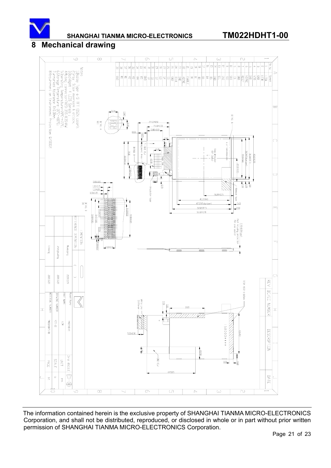<span id="page-20-0"></span>

**SHANGHAI TIANMA MICRO-ELECTRONICS TM022HDHT1-00**

#### **8 Mechanical drawing**

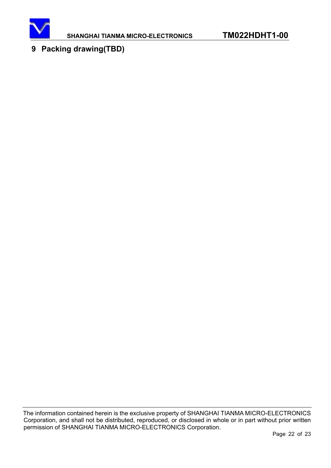<span id="page-21-0"></span>

## **9 Packing drawing(TBD)**